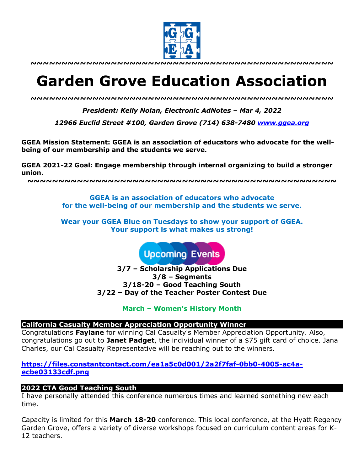

# **Garden Grove Education Association**

*~~~~~~~~~~~~~~~~~~~~~~~~~~~~~~~~~~~~~~~~~~~~~~~~~*

*President: Kelly Nolan, Electronic AdNotes – Mar 4, 2022*

*12966 Euclid Street #100, Garden Grove (714) 638-7480 www.ggea.org*

**GGEA Mission Statement: GGEA is an association of educators who advocate for the wellbeing of our membership and the students we serve.** 

**GGEA 2021-22 Goal: Engage membership through internal organizing to build a stronger union.**

**~~~~~~~~~~~~~~~~~~~~~~~~~~~~~~~~~~~~~~~~~~~~~~~~~~**

**GGEA is an association of educators who advocate for the well-being of our membership and the students we serve.**

**Wear your GGEA Blue on Tuesdays to show your support of GGEA. Your support is what makes us strong!**

**Upcoming Events** 

**3/7 – Scholarship Applications Due 3/8 – Segments 3/18-20 – Good Teaching South 3/22 – Day of the Teacher Poster Contest Due**

**March – Women's History Month**

#### **California Casualty Member Appreciation Opportunity Winner**

Congratulations **Faylane** for winning Cal Casualty's Member Appreciation Opportunity. Also, congratulations go out to **Janet Padget**, the individual winner of a \$75 gift card of choice. Jana Charles, our Cal Casualty Representative will be reaching out to the winners.

**https://files.constantcontact.com/ea1a5c0d001/2a2f7faf-0bb0-4005-ac4aecbe03133cdf.png**

# **2022 CTA Good Teaching South**

I have personally attended this conference numerous times and learned something new each time.

Capacity is limited for this **March 18-20** conference. This local conference, at the Hyatt Regency Garden Grove, offers a variety of diverse workshops focused on curriculum content areas for K-12 teachers.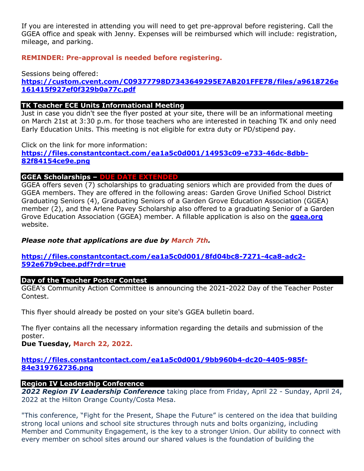If you are interested in attending you will need to get pre-approval before registering. Call the GGEA office and speak with Jenny. Expenses will be reimbursed which will include: registration, mileage, and parking.

## **REMINDER: Pre-approval is needed before registering.**

#### Sessions being offered:

**https://custom.cvent.com/C09377798D7343649295E7AB201FFE78/files/a9618726e 161415f927ef0f329b0a77c.pdf**

## **TK Teacher ECE Units Informational Meeting**

Just in case you didn't see the flyer posted at your site, there will be an informational meeting on March 21st at 3:30 p.m. for those teachers who are interested in teaching TK and only need Early Education Units. This meeting is not eligible for extra duty or PD/stipend pay.

Click on the link for more information: **https://files.constantcontact.com/ea1a5c0d001/14953c09-e733-46dc-8dbb-82f84154ce9e.png**

#### **GGEA Scholarships – DUE DATE EXTENDED**

GGEA offers seven (7) scholarships to graduating seniors which are provided from the dues of GGEA members. They are offered in the following areas: Garden Grove Unified School District Graduating Seniors (4), Graduating Seniors of a Garden Grove Education Association (GGEA) member (2), and the Arlene Pavey Scholarship also offered to a graduating Senior of a Garden Grove Education Association (GGEA) member. A fillable application is also on the **ggea.org** website.

# *Please note that applications are due by March 7th.*

## **https://files.constantcontact.com/ea1a5c0d001/8fd04bc8-7271-4ca8-adc2- 592e67b9cbee.pdf?rdr=true**

#### **Day of the Teacher Poster Contest**

GGEA's Community Action Committee is announcing the 2021-2022 Day of the Teacher Poster Contest.

This flyer should already be posted on your site's GGEA bulletin board.

The flyer contains all the necessary information regarding the details and submission of the poster.

**Due Tuesday, March 22, 2022.**

## **https://files.constantcontact.com/ea1a5c0d001/9bb960b4-dc20-4405-985f-84e319762736.png**

#### **Region IV Leadership Conference**

*2022 Region IV Leadership Conference* taking place from Friday, April 22 - Sunday, April 24, 2022 at the Hilton Orange County/Costa Mesa.

"This conference, "Fight for the Present, Shape the Future" is centered on the idea that building strong local unions and school site structures through nuts and bolts organizing, including Member and Community Engagement, is the key to a stronger Union. Our ability to connect with every member on school sites around our shared values is the foundation of building the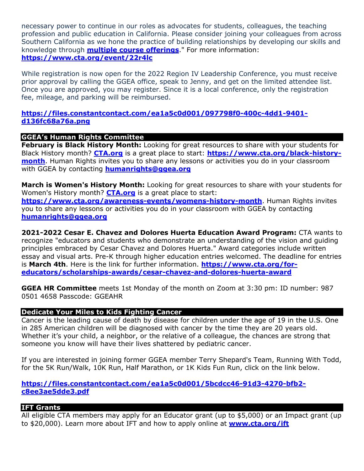necessary power to continue in our roles as advocates for students, colleagues, the teaching profession and public education in California. Please consider joining your colleagues from across Southern California as we hone the practice of building relationships by developing our skills and knowledge through **multiple course offerings**." For more information: **https://www.cta.org/event/22r4lc**

While registration is now open for the 2022 Region IV Leadership Conference, you must receive prior approval by calling the GGEA office, speak to Jenny, and get on the limited attendee list. Once you are approved, you may register. Since it is a local conference, only the registration fee, mileage, and parking will be reimbursed.

# **https://files.constantcontact.com/ea1a5c0d001/097798f0-400c-4dd1-9401 d136fc68a76a.png**

# **GGEA's Human Rights Committee**

**February is Black History Month:** Looking for great resources to share with your students for Black History month? **CTA.org** is a great place to start: **https://www.cta.org/black-historymonth**. Human Rights invites you to share any lessons or activities you do in your classroom with GGEA by contacting **humanrights@ggea.org**

**March is Women's History Month:** Looking for great resources to share with your students for Women's History month? **CTA.org** is a great place to start: **https://www.cta.org/awareness-events/womens-history-month**. Human Rights invites you to share any lessons or activities you do in your classroom with GGEA by contacting **humanrights@ggea.org**

**2021-2022 Cesar E. Chavez and Dolores Huerta Education Award Program:** CTA wants to recognize "educators and students who demonstrate an understanding of the vision and guiding principles embraced by Cesar Chavez and Dolores Huerta." Award categories include written essay and visual arts. Pre-K through higher education entries welcomed. The deadline for entries is **March 4th**. Here is the link for further information. **https://www.cta.org/foreducators/scholarships-awards/cesar-chavez-and-dolores-huerta-award**

**GGEA HR Committee** meets 1st Monday of the month on Zoom at 3:30 pm: ID number: 987 0501 4658 Passcode: GGEAHR

# **Dedicate Your Miles to Kids Fighting Cancer**

Cancer is the leading cause of death by disease for children under the age of 19 in the U.S. One in 285 American children will be diagnosed with cancer by the time they are 20 years old. Whether it's your child, a neighbor, or the relative of a colleague, the chances are strong that someone you know will have their lives shattered by pediatric cancer.

If you are interested in joining former GGEA member Terry Shepard's Team, Running With Todd, for the 5K Run/Walk, 10K Run, Half Marathon, or 1K Kids Fun Run, click on the link below.

# **https://files.constantcontact.com/ea1a5c0d001/5bcdcc46-91d3-4270-bfb2 c8ee3ae5dde3.pdf**

# **IFT Grants**

All eligible CTA members may apply for an Educator grant (up to \$5,000) or an Impact grant (up to \$20,000). Learn more about IFT and how to apply online at **www.cta.org/ift**